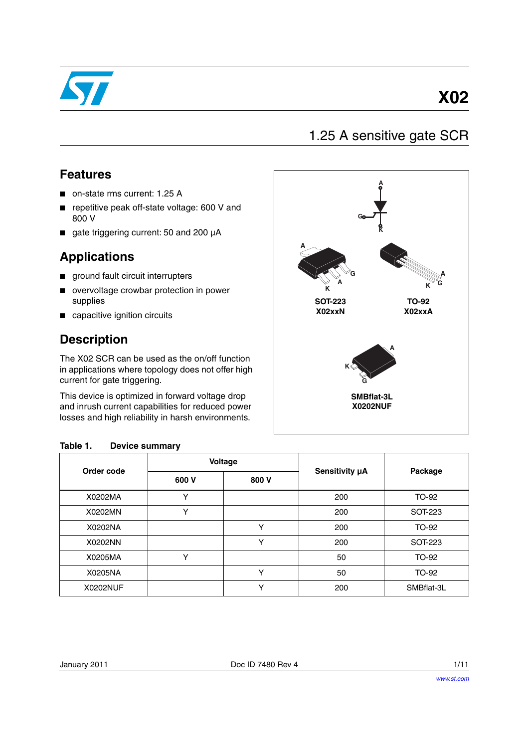

# **X02**

## 1.25 A sensitive gate SCR

### **Features**

- on-state rms current: 1.25 A
- repetitive peak off-state voltage: 600 V and 800 V
- gate triggering current: 50 and 200 µA

### **Applications**

- ground fault circuit interrupters
- overvoltage crowbar protection in power supplies
- capacitive ignition circuits

### **Description**

The X02 SCR can be used as the on/off function in applications where topology does not offer high current for gate triggering.

This device is optimized in forward voltage drop and inrush current capabilities for reduced power losses and high reliability in harsh environments.

### **Table 1. Device summary**

|            |              | Voltage      |                | Package    |  |
|------------|--------------|--------------|----------------|------------|--|
| Order code | 600 V        | 800 V        | Sensitivity µA |            |  |
| X0202MA    |              |              | 200            | TO-92      |  |
| X0202MN    | v            |              | 200            | SOT-223    |  |
| X0202NA    |              | $\checkmark$ | 200            | TO-92      |  |
| X0202NN    |              | $\checkmark$ | 200            | SOT-223    |  |
| X0205MA    | $\checkmark$ |              | 50             | TO-92      |  |
| X0205NA    |              | $\checkmark$ | 50             | TO-92      |  |
| X0202NUF   |              |              | 200            | SMBflat-3L |  |

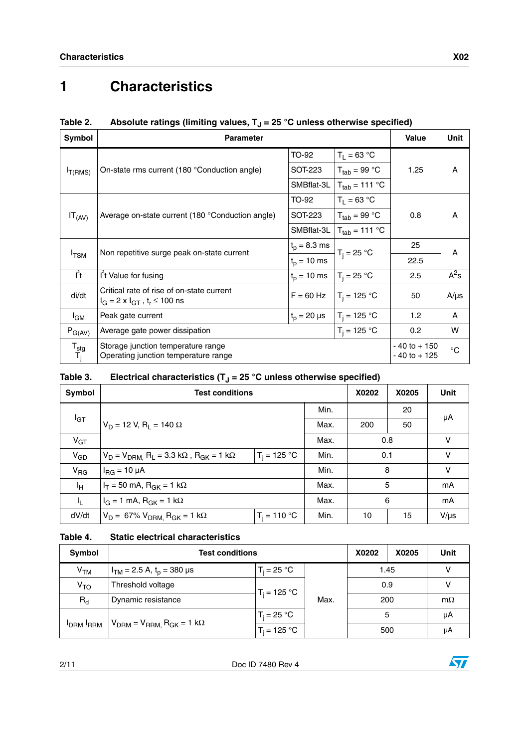# **1 Characteristics**

| Symbol                             | <b>Parameter</b>                                                                                    |                  |                                   | <b>Value</b>                       | <b>Unit</b>  |
|------------------------------------|-----------------------------------------------------------------------------------------------------|------------------|-----------------------------------|------------------------------------|--------------|
|                                    |                                                                                                     | TO-92            | $T_1 = 63 °C$                     |                                    |              |
| $I_{T(RMS)}$                       | On-state rms current (180 °Conduction angle)                                                        | SOT-223          | $T_{tab}$ = 99 °C                 | 1.25                               | A            |
|                                    |                                                                                                     | SMBflat-3L       | $T_{tab}$ = 111 °C                |                                    |              |
|                                    |                                                                                                     | TO-92            | $T_1 = 63 °C$                     | 0.8                                | A            |
| $IT_{(AV)}$                        | Average on-state current (180 °Conduction angle)                                                    | SOT-223          | $T_{tab}$ = 99 °C                 |                                    |              |
|                                    |                                                                                                     | SMBflat-3L       | $T_{\text{tab}} = 111 \text{ °C}$ |                                    |              |
| $I_{TSM}$                          |                                                                                                     | $t_{p} = 8.3$ ms |                                   | 25                                 | A            |
|                                    | Non repetitive surge peak on-state current                                                          | $t_{p} = 10$ ms  | $T_i = 25 °C$                     | 22.5                               |              |
| $I^2t$                             | I <sup>t</sup> Value for fusing                                                                     | $t_p = 10$ ms    | $T_i = 25 °C$                     | 2.5                                | $A^2s$       |
| di/dt                              | Critical rate of rise of on-state current<br>$I_G = 2 \times I_{GT}$ , t <sub>r</sub> $\leq 100$ ns | $F = 60$ Hz      | $T_i = 125 °C$                    | 50                                 | $A/\mu s$    |
| l <sub>GM</sub>                    | Peak gate current                                                                                   | $t_n = 20 \mu s$ | $T_i = 125 °C$                    | 1.2 <sub>2</sub>                   | A            |
| $P_{G(AV)}$                        | Average gate power dissipation                                                                      |                  | $T_i = 125 °C$                    | 0.2                                | W            |
| $\mathsf{T}_{\text{stg}}$<br>$T_i$ | Storage junction temperature range<br>Operating junction temperature range                          |                  |                                   | $-40$ to $+150$<br>$-40$ to $+125$ | $^{\circ}$ C |

### Table 2. Absolute ratings (limiting values, T<sub>J</sub> = 25 °C unless otherwise specified)

### Table 3.  $\quad$  Electrical characteristics (T<sub>J</sub> = 25  $^{\circ}$ C unless otherwise specified)

| Symbol          | <b>Test conditions</b>                                                               |      | X0202 | X0205 | Unit |           |
|-----------------|--------------------------------------------------------------------------------------|------|-------|-------|------|-----------|
|                 |                                                                                      | Min. |       | 20    | μA   |           |
| $I_{GT}$        | $V_D = 12 V, R_1 = 140 \Omega$                                                       |      | Max.  | 200   |      |           |
| $V_{GT}$        |                                                                                      |      | Max.  | 0.8   |      | V         |
| $V_{GD}$        | $T_i = 125 °C$<br>$V_D = V_{DRM}$ , $R_L = 3.3$ k $\Omega$ , $R_{GK} = 1$ k $\Omega$ |      | Min.  | 0.1   |      | v         |
| $V_{\text{RG}}$ | $I_{\text{RG}}$ = 10 µA                                                              |      | Min.  | 8     |      | v         |
| Iн              | $I_T = 50$ mA, $R_{GK} = 1$ k $\Omega$                                               |      | Max.  | 5     |      | mA        |
| I <sub>L</sub>  | $I_G = 1$ mA, $R_{GK} = 1$ k $\Omega$                                                |      | Max.  | 6     |      | mA        |
| dV/dt           | $V_D = 67\% V_{DRM}$ , R <sub>GK</sub> = 1 kΩ<br>$T_i = 110 °C$                      |      | Min.  | 10    | 15   | $V/\mu s$ |

#### **Table 4. Static electrical characteristics**

| Symbol          | <b>Test conditions</b>                         | X0202          | X0205 | Unit |     |    |
|-----------------|------------------------------------------------|----------------|-------|------|-----|----|
| V <sub>TM</sub> | $I_{TM}$ = 2.5 A, $t_p$ = 380 µs               | $T_i = 25 °C$  |       | 1.45 |     |    |
| V <sub>TO</sub> | Threshold voltage                              | $T_i = 125 °C$ |       | 0.9  |     |    |
| $R_{d}$         | Dynamic resistance                             |                |       | Max. | 200 |    |
| <b>IDRM RRM</b> | $V_{DRM}$ = $V_{RRM}$ , R <sub>GK</sub> = 1 kΩ | $T_i = 25 °C$  |       | 5    |     | μA |
|                 |                                                | $T_i = 125 °C$ |       | 500  |     | μA |

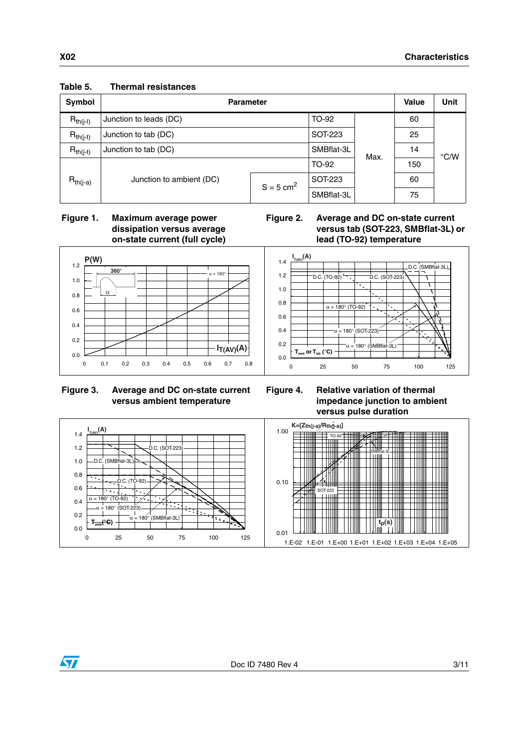| Symbol        | <b>Parameter</b>         | <b>Value</b>            | <b>Unit</b> |    |               |  |
|---------------|--------------------------|-------------------------|-------------|----|---------------|--|
| $R_{th(i-l)}$ | Junction to leads (DC)   | TO-92                   |             | 60 |               |  |
| $R_{th(j-t)}$ | Junction to tab (DC)     | SOT-223                 | Max.        | 25 | $\degree$ C/W |  |
| $R_{th(j-t)}$ | Junction to tab (DC)     | SMBflat-3L              |             | 14 |               |  |
|               |                          |                         | TO-92       |    | 150           |  |
| $R_{th(j-a)}$ | Junction to ambient (DC) | $S = 5$ cm <sup>2</sup> | SOT-223     |    | 60            |  |
|               |                          |                         | SMBflat-3L  |    | 75            |  |

#### **Table 5. Thermal resistances**

 **Figure 1. Maximum average power dissipation versus average on-state current (full cycle)**





#### **Figure 3. Average and DC on-state current versus ambient temperature**





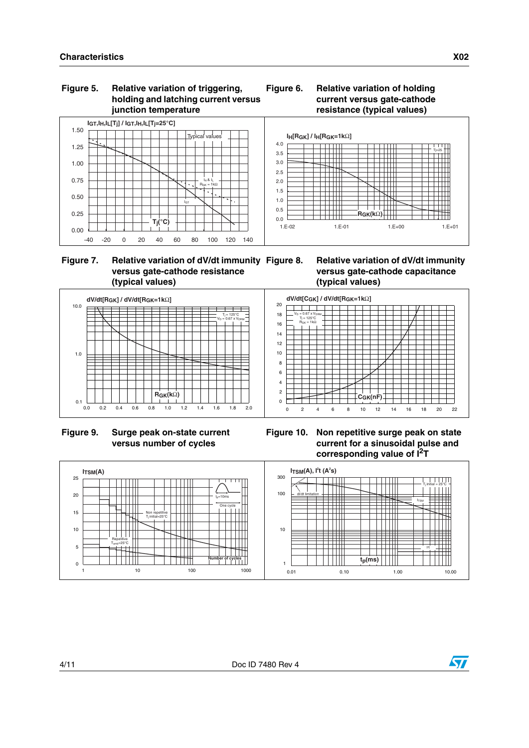#### **Figure 5. Relative variation of triggering, holding and latching current versus junction temperature**





#### **Figure 7. Relative variation of dV/dt immunity versus gate-cathode resistance (typical values)**

**Figure 8. Relative variation of dV/dt immunity versus gate-cathode capacitance (typical values)**



 **Figure 9. Surge peak on-state current versus number of cycles**



**Figure 10. Non repetitive surge peak on state current for a sinusoidal pulse and corresponding value of I2T** 



 $\bm{\varPi}$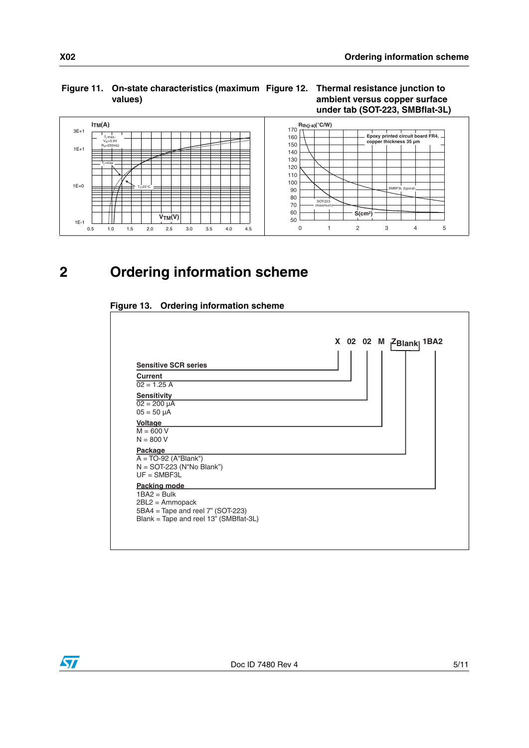### **Figure 11. On-state characteristics (maximum Figure 12. Thermal resistance junction to values)**

### **ambient versus copper surface under tab (SOT-223, SMBflat-3L)**



**2 Ordering information scheme**





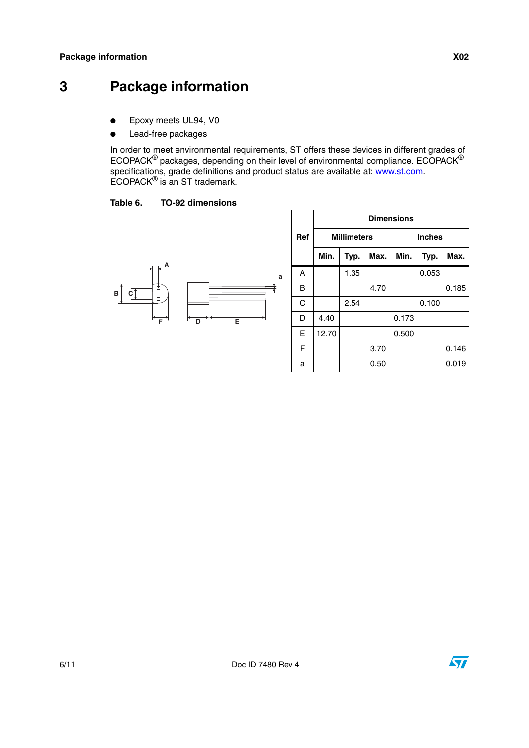## **3 Package information**

- Epoxy meets UL94, V0
- Lead-free packages

In order to meet environmental requirements, ST offers these devices in different grades of ECOPACK $^{\circledR}$  packages, depending on their level of environmental compliance. ECOPACK $^{\circledR}$ specifications, grade definitions and product status are available at: **www.st.com**. ECOPACK® is an ST trademark.

Table 6. **TO-92 dimensions** 



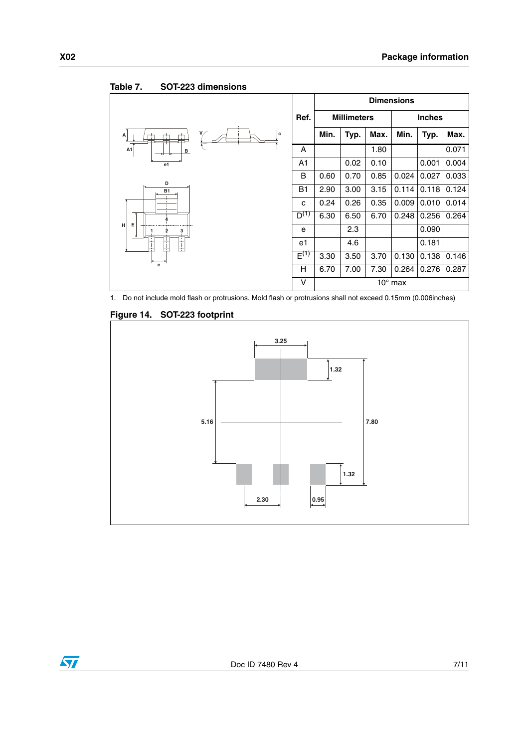

#### Table 7. **SOT-223 dimensions**

1. Do not include mold flash or protrusions. Mold flash or protrusions shall not exceed 0.15mm (0.006inches)



#### **Figure 14. SOT-223 footprint**

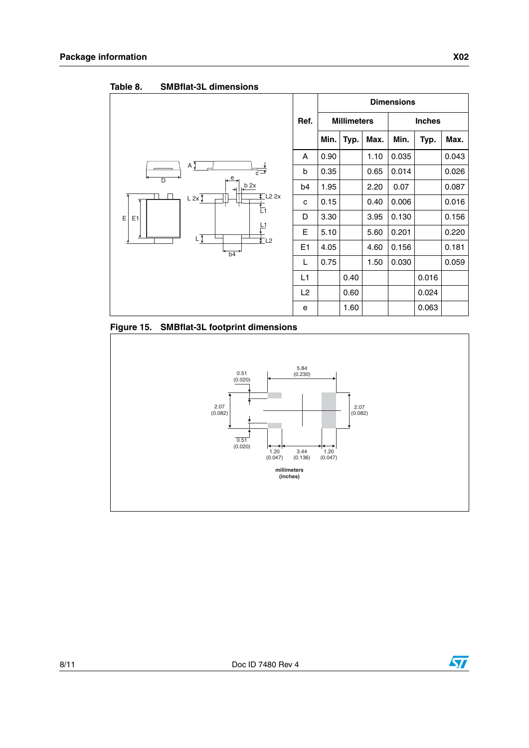|                                                             |                |      |      |                    | <b>Dimensions</b> |               |       |
|-------------------------------------------------------------|----------------|------|------|--------------------|-------------------|---------------|-------|
|                                                             | Ref.           |      |      | <b>Millimeters</b> |                   | <b>Inches</b> |       |
|                                                             |                | Min. | Typ. | Max.               | Min.              | Typ.          | Max.  |
|                                                             | A              | 0.90 |      | 1.10               | 0.035             |               | 0.043 |
| $A \overline{I}$<br>$c -$                                   | b              | 0.35 |      | 0.65               | 0.014             |               | 0.026 |
| $e_{\rightarrow}$<br>$\overline{D}$<br>b <sub>2x</sub><br>÷ | b4             | 1.95 |      | 2.20               | 0.07              |               | 0.087 |
| $\sqrt{\phantom{a}}$ L <sub>2</sub> 2x<br>L 2x<br>t<br>Li   | c              | 0.15 |      | 0.40               | 0.006             |               | 0.016 |
| E<br>E <sub>1</sub><br>년<br>LŢ                              | D              | 3.30 |      | 3.95               | 0.130             |               | 0.156 |
|                                                             | E              | 5.10 |      | 5.60               | 0.201             |               | 0.220 |
| t L2<br>b4                                                  | E1             | 4.05 |      | 4.60               | 0.156             |               | 0.181 |
|                                                             | L              | 0.75 |      | 1.50               | 0.030             |               | 0.059 |
|                                                             | L1             |      | 0.40 |                    |                   | 0.016         |       |
|                                                             | L <sub>2</sub> |      | 0.60 |                    |                   | 0.024         |       |
|                                                             | e              |      | 1.60 |                    |                   | 0.063         |       |

Table 8. **SMBflat-3L dimensions** 

**Figure 15. SMBflat-3L footprint dimensions**



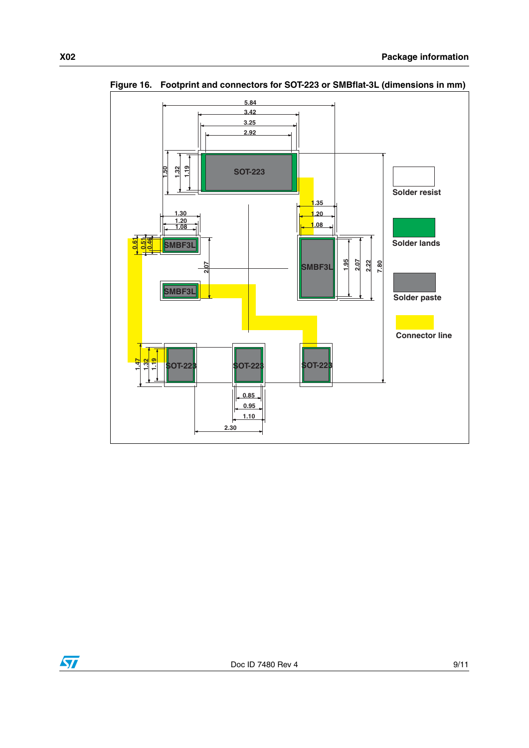

**Figure 16. Footprint and connectors for SOT-223 or SMBflat-3L (dimensions in mm)**

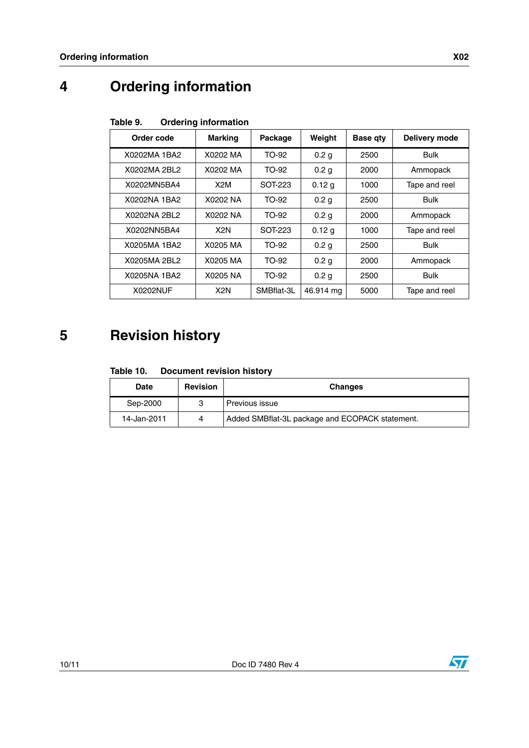# **4 Ordering information**

| Order code   | <b>Marking</b>   | Package    | Weight           | <b>Base qty</b> | Delivery mode |
|--------------|------------------|------------|------------------|-----------------|---------------|
| X0202MA 1BA2 | X0202 MA         | TO-92      | 0.2 <sub>g</sub> | 2500            | <b>Bulk</b>   |
| X0202MA 2BL2 | X0202 MA         | TO-92      | 0.2 <sub>g</sub> | 2000            | Ammopack      |
| X0202MN5BA4  | X2M              | SOT-223    | 0.12 g           | 1000            | Tape and reel |
| X0202NA 1BA2 | X0202 NA         | TO-92      | 0.2 <sub>g</sub> | 2500            | <b>Bulk</b>   |
| X0202NA 2BL2 | X0202 NA         | TO-92      | 0.2 <sub>g</sub> | 2000            | Ammopack      |
| X0202NN5BA4  | X <sub>2</sub> N | SOT-223    | 0.12 g           | 1000            | Tape and reel |
| X0205MA 1BA2 | X0205 MA         | TO-92      | 0.2 <sub>g</sub> | 2500            | <b>Bulk</b>   |
| X0205MA 2BL2 | X0205 MA         | TO-92      | 0.2 <sub>g</sub> | 2000            | Ammopack      |
| X0205NA 1BA2 | X0205 NA         | TO-92      | 0.2 <sub>g</sub> | 2500            | Bulk          |
| X0202NUF     | X <sub>2</sub> N | SMBflat-3L | 46.914 mg        | 5000            | Tape and reel |

#### Table 9. **Ordering information**

## **5 Revision history**

#### Table 10. **Document revision history**

| <b>Date</b> | <b>Revision</b> | <b>Changes</b>                                  |  |
|-------------|-----------------|-------------------------------------------------|--|
| Sep-2000    |                 | Previous issue                                  |  |
| 14-Jan-2011 | Λ               | Added SMBflat-3L package and ECOPACK statement. |  |